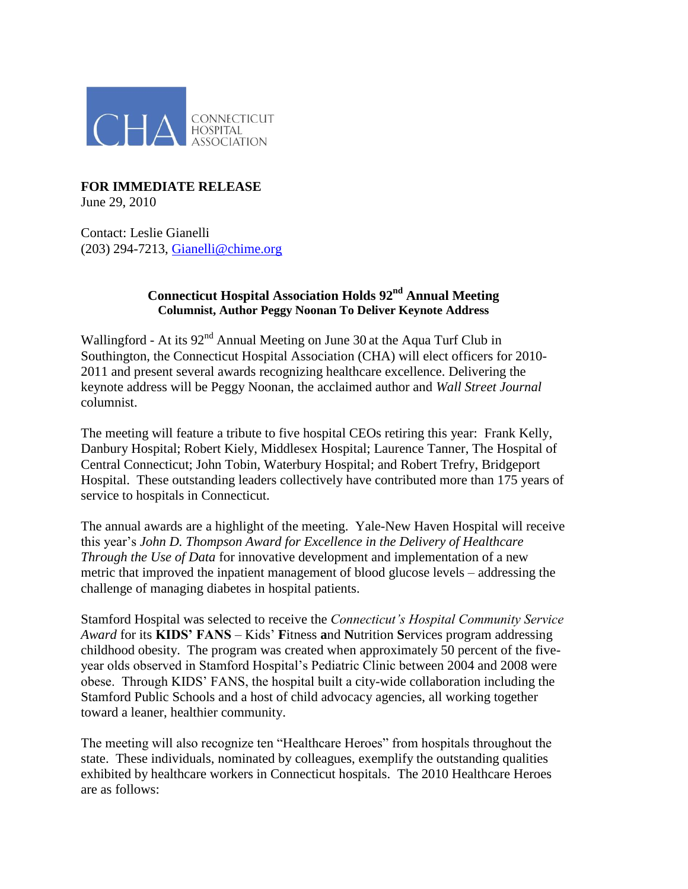

## **FOR IMMEDIATE RELEASE** June 29, 2010

Contact: Leslie Gianelli (203) 294-7213, [Gianelli@chime.org](mailto:Gianelli@chime.org)

## **Connecticut Hospital Association Holds 92nd Annual Meeting Columnist, Author Peggy Noonan To Deliver Keynote Address**

Wallingford - At its  $92<sup>nd</sup>$  Annual Meeting on June 30 at the Aqua Turf Club in Southington, the Connecticut Hospital Association (CHA) will elect officers for 2010- 2011 and present several awards recognizing healthcare excellence. Delivering the keynote address will be Peggy Noonan, the acclaimed author and *Wall Street Journal* columnist.

The meeting will feature a tribute to five hospital CEOs retiring this year: Frank Kelly, Danbury Hospital; Robert Kiely, Middlesex Hospital; Laurence Tanner, The Hospital of Central Connecticut; John Tobin, Waterbury Hospital; and Robert Trefry, Bridgeport Hospital. These outstanding leaders collectively have contributed more than 175 years of service to hospitals in Connecticut.

The annual awards are a highlight of the meeting. Yale-New Haven Hospital will receive this year's *John D. Thompson Award for Excellence in the Delivery of Healthcare Through the Use of Data* for innovative development and implementation of a new metric that improved the inpatient management of blood glucose levels – addressing the challenge of managing diabetes in hospital patients.

Stamford Hospital was selected to receive the *Connecticut's Hospital Community Service Award* for its **KIDS' FANS** – Kids' **F**itness **a**nd **N**utrition **S**ervices program addressing childhood obesity. The program was created when approximately 50 percent of the fiveyear olds observed in Stamford Hospital's Pediatric Clinic between 2004 and 2008 were obese. Through KIDS' FANS, the hospital built a city-wide collaboration including the Stamford Public Schools and a host of child advocacy agencies, all working together toward a leaner, healthier community.

The meeting will also recognize ten "Healthcare Heroes" from hospitals throughout the state. These individuals, nominated by colleagues, exemplify the outstanding qualities exhibited by healthcare workers in Connecticut hospitals. The 2010 Healthcare Heroes are as follows: